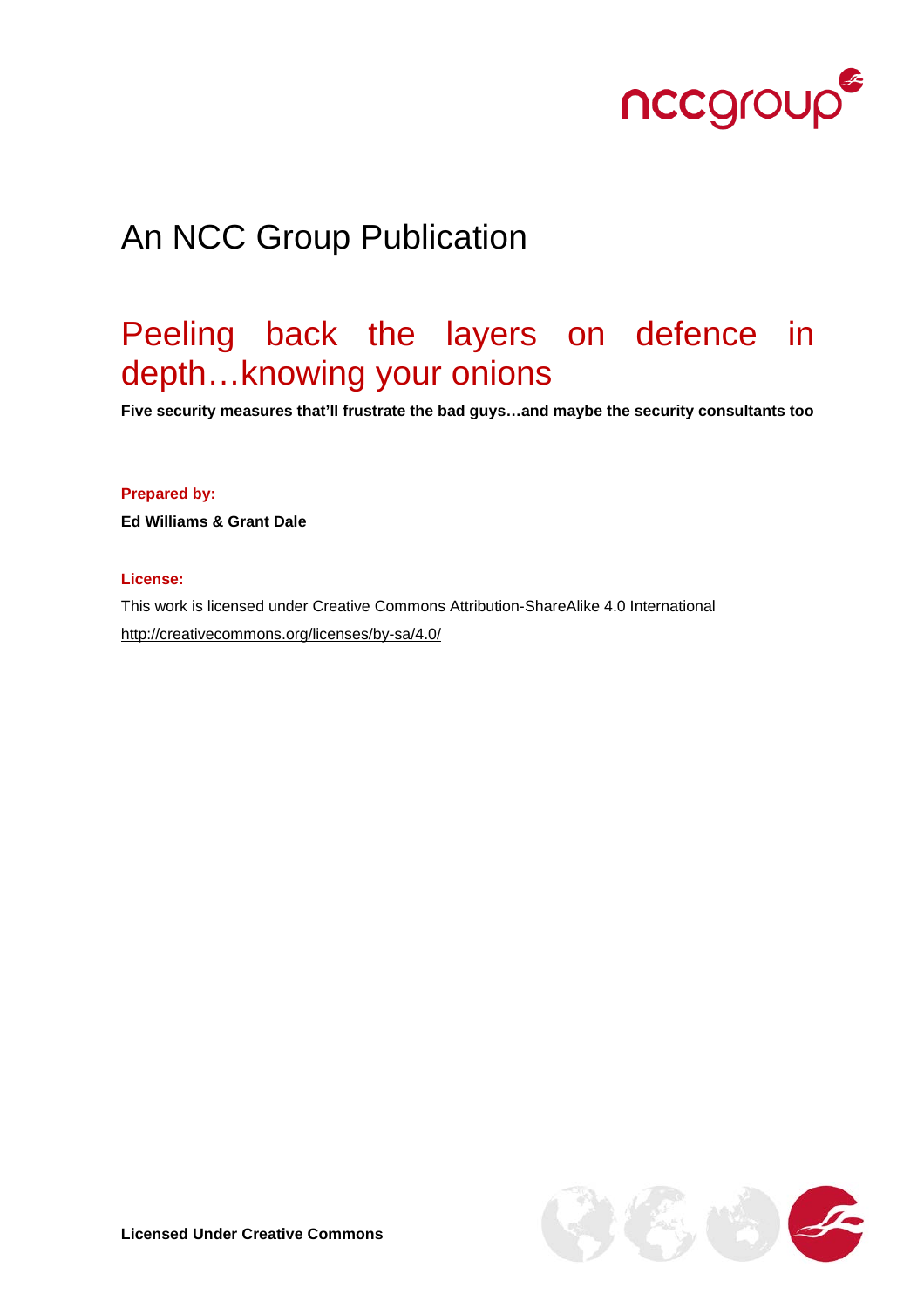

# An NCC Group Publication

# Peeling back the layers on defence in depth…knowing your onions

**Five security measures that'll frustrate the bad guys…and maybe the security consultants too**

#### **Prepared by:**

**Ed Williams & Grant Dale** 

#### **License:**

This work is licensed under Creative Commons Attribution-ShareAlike 4.0 International <http://creativecommons.org/licenses/by-sa/4.0/>

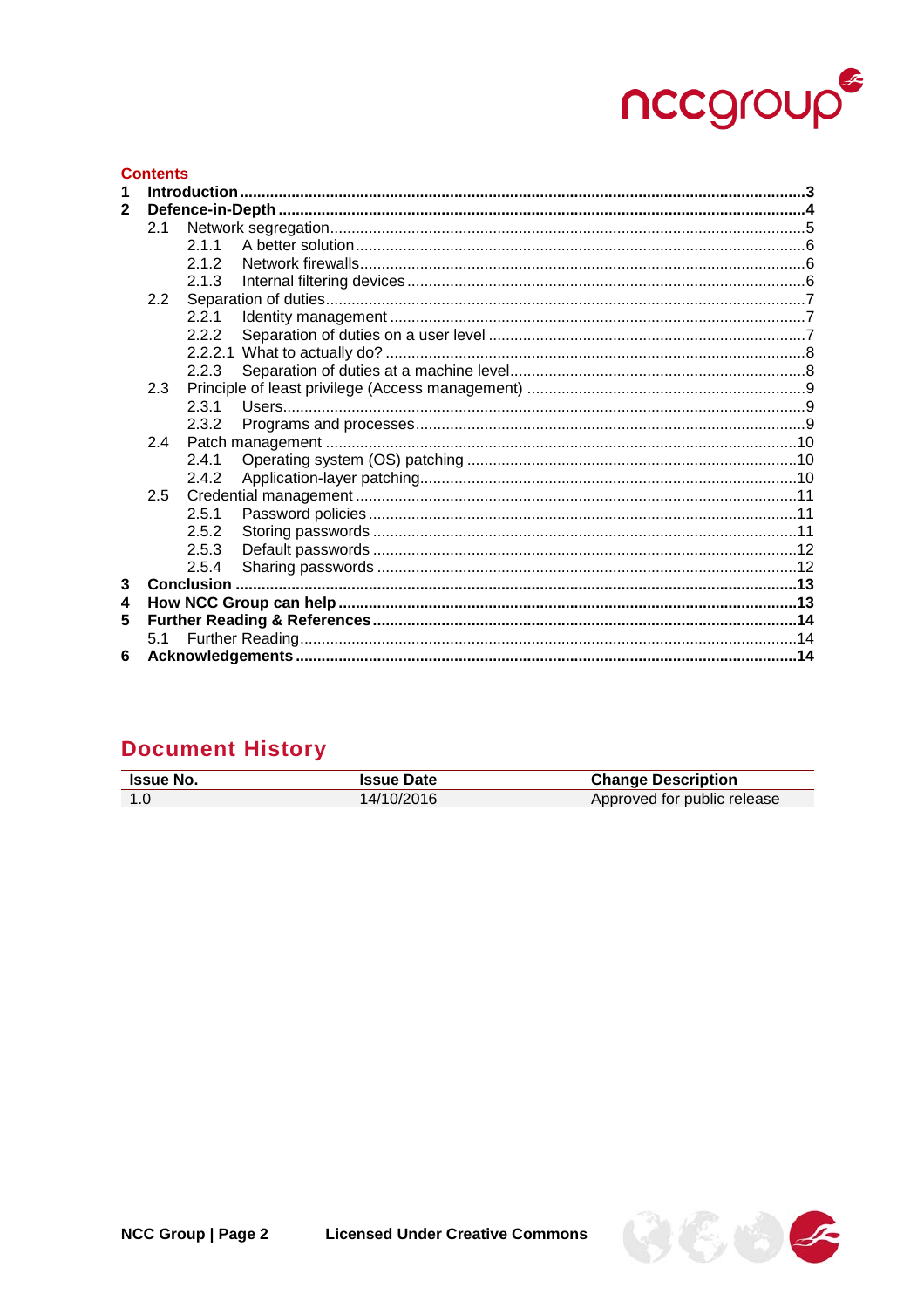# nccgroup

#### **Contents**  $\mathbf{2}$  $2.1$  $211$  $212$  $213$  $2.2$  $2.2.1$  $2.2.2$  $223$  $2.3.1$ 2.3.2  $2.4.1$  $2.4.2$  $2.5.1$  $2.5.2$  $2.5.3$  $2.5.4$  $3<sup>1</sup>$ 5  $5.1$ 6

# **Document History**

| <b>Issue No.</b> | <b>Issue Date</b> | <b>Change Description</b>   |
|------------------|-------------------|-----------------------------|
| -1.0             | 14/10/2016        | Approved for public release |
|                  |                   |                             |

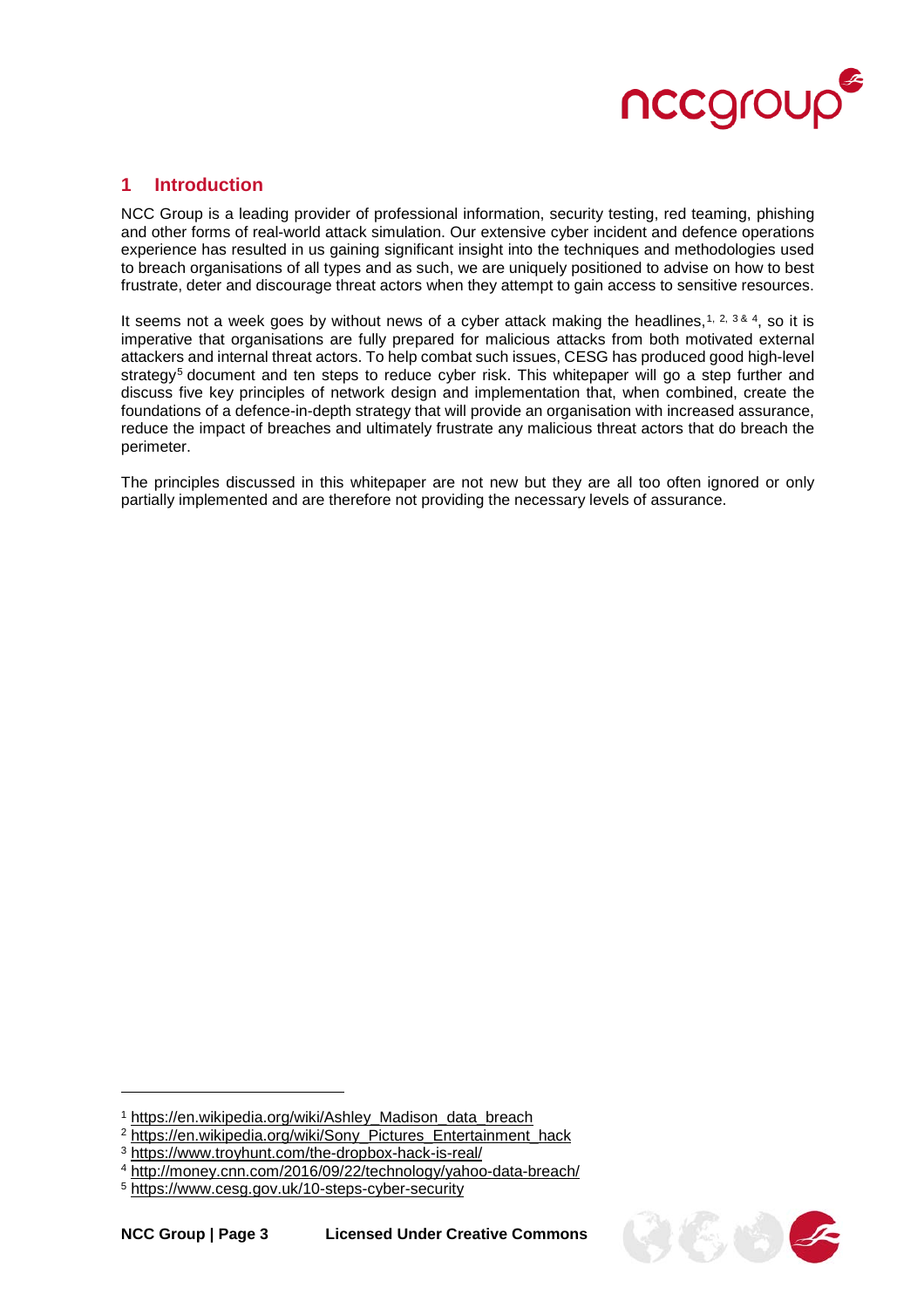

## <span id="page-2-0"></span>**1 Introduction**

NCC Group is a leading provider of professional information, security testing, red teaming, phishing and other forms of real-world attack simulation. Our extensive cyber incident and defence operations experience has resulted in us gaining significant insight into the techniques and methodologies used to breach organisations of all types and as such, we are uniquely positioned to advise on how to best frustrate, deter and discourage threat actors when they attempt to gain access to sensitive resources.

It seems not a week goes by without news of a cyber attack making the headlines,  $1, 2, 3, 8, 4$  $1, 2, 3, 8, 4$  $1, 2, 3, 8, 4$  $1, 2, 3, 8, 4$  $1, 2, 3, 8, 4$  $1, 2, 3, 8, 4$ , so it is imperative that organisations are fully prepared for malicious attacks from both motivated external attackers and internal threat actors. To help combat such issues, CESG has produced good high-level strategy<sup>[5](#page-2-5)</sup> document and ten steps to reduce cyber risk. This whitepaper will go a step further and discuss five key principles of network design and implementation that, when combined, create the foundations of a defence-in-depth strategy that will provide an organisation with increased assurance, reduce the impact of breaches and ultimately frustrate any malicious threat actors that do breach the perimeter.

The principles discussed in this whitepaper are not new but they are all too often ignored or only partially implemented and are therefore not providing the necessary levels of assurance.



<span id="page-2-1"></span><sup>1</sup> [https://en.wikipedia.org/wiki/Ashley\\_Madison\\_data\\_breach](https://en.wikipedia.org/wiki/Ashley_Madison_data_breach)

<span id="page-2-2"></span><sup>2</sup> [https://en.wikipedia.org/wiki/Sony\\_Pictures\\_Entertainment\\_hack](https://en.wikipedia.org/wiki/Sony_Pictures_Entertainment_hack)

<span id="page-2-3"></span><sup>3</sup> <https://www.troyhunt.com/the-dropbox-hack-is-real/>

<span id="page-2-4"></span><sup>4</sup> <http://money.cnn.com/2016/09/22/technology/yahoo-data-breach/>

<span id="page-2-5"></span><sup>5</sup> <https://www.cesg.gov.uk/10-steps-cyber-security>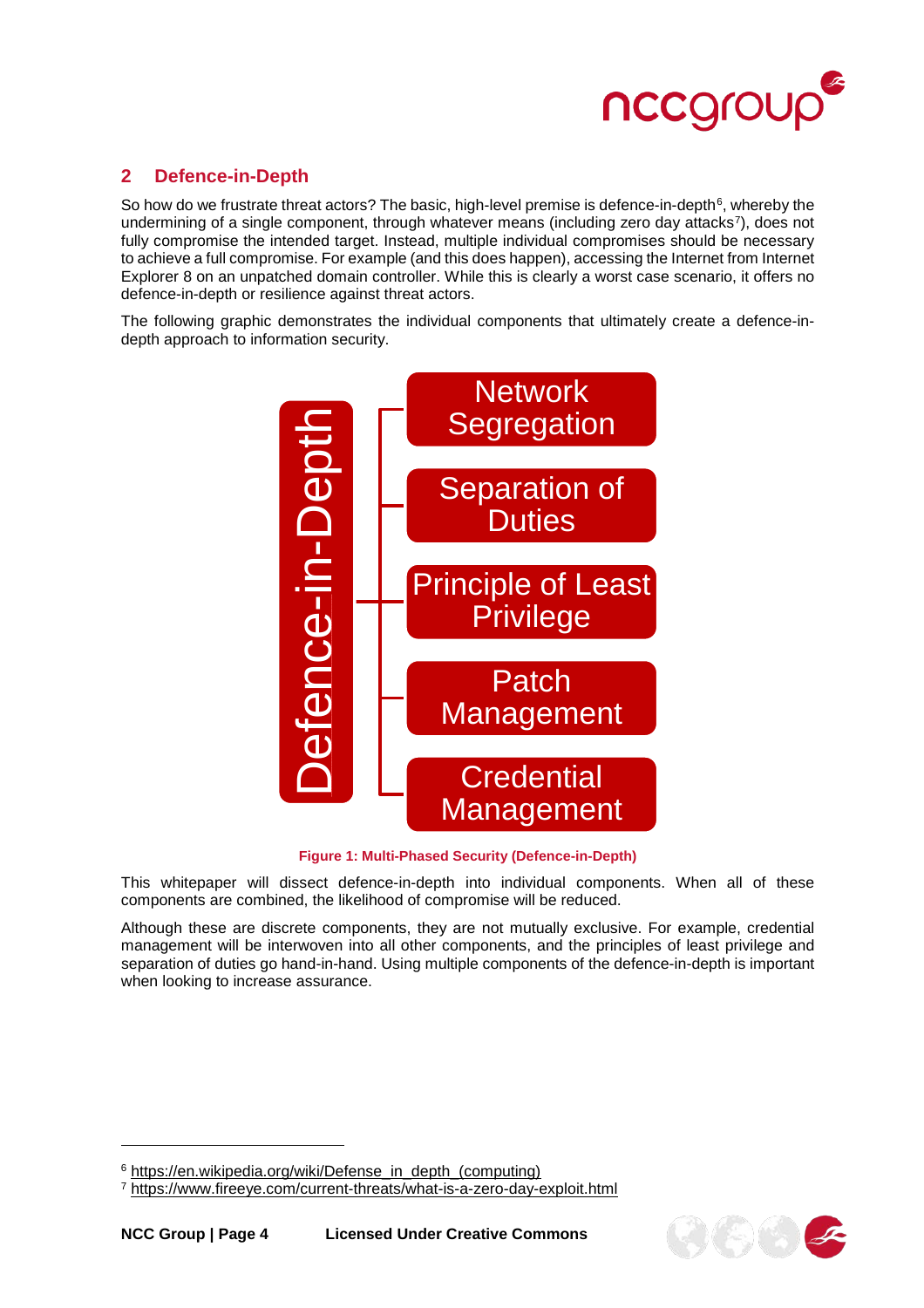

# <span id="page-3-0"></span>**2 Defence-in-Depth**

So how do we frustrate threat actors? The basic, high-level premise is defence-in-depth<sup>[6](#page-3-1)</sup>, whereby the undermining of a single component, through whatever means (including zero day attacks<sup>7</sup>), does not fully compromise the intended target. Instead, multiple individual compromises should be necessary to achieve a full compromise. For example (and this does happen), accessing the Internet from Internet Explorer 8 on an unpatched domain controller. While this is clearly a worst case scenario, it offers no defence-in-depth or resilience against threat actors.

The following graphic demonstrates the individual components that ultimately create a defence-indepth approach to information security.



**Figure 1: Multi-Phased Security (Defence-in-Depth)**

This whitepaper will dissect defence-in-depth into individual components. When all of these components are combined, the likelihood of compromise will be reduced.

Although these are discrete components, they are not mutually exclusive. For example, credential management will be interwoven into all other components, and the principles of least privilege and separation of duties go hand-in-hand. Using multiple components of the defence-in-depth is important when looking to increase assurance.



<span id="page-3-2"></span><span id="page-3-1"></span> $6$  [https://en.wikipedia.org/wiki/Defense\\_in\\_depth\\_\(computing\)](https://en.wikipedia.org/wiki/Defense_in_depth_(computing))<br>  $7$  https://www.fireeye.com/current-threats/what-is-a-zero-day-exploit.html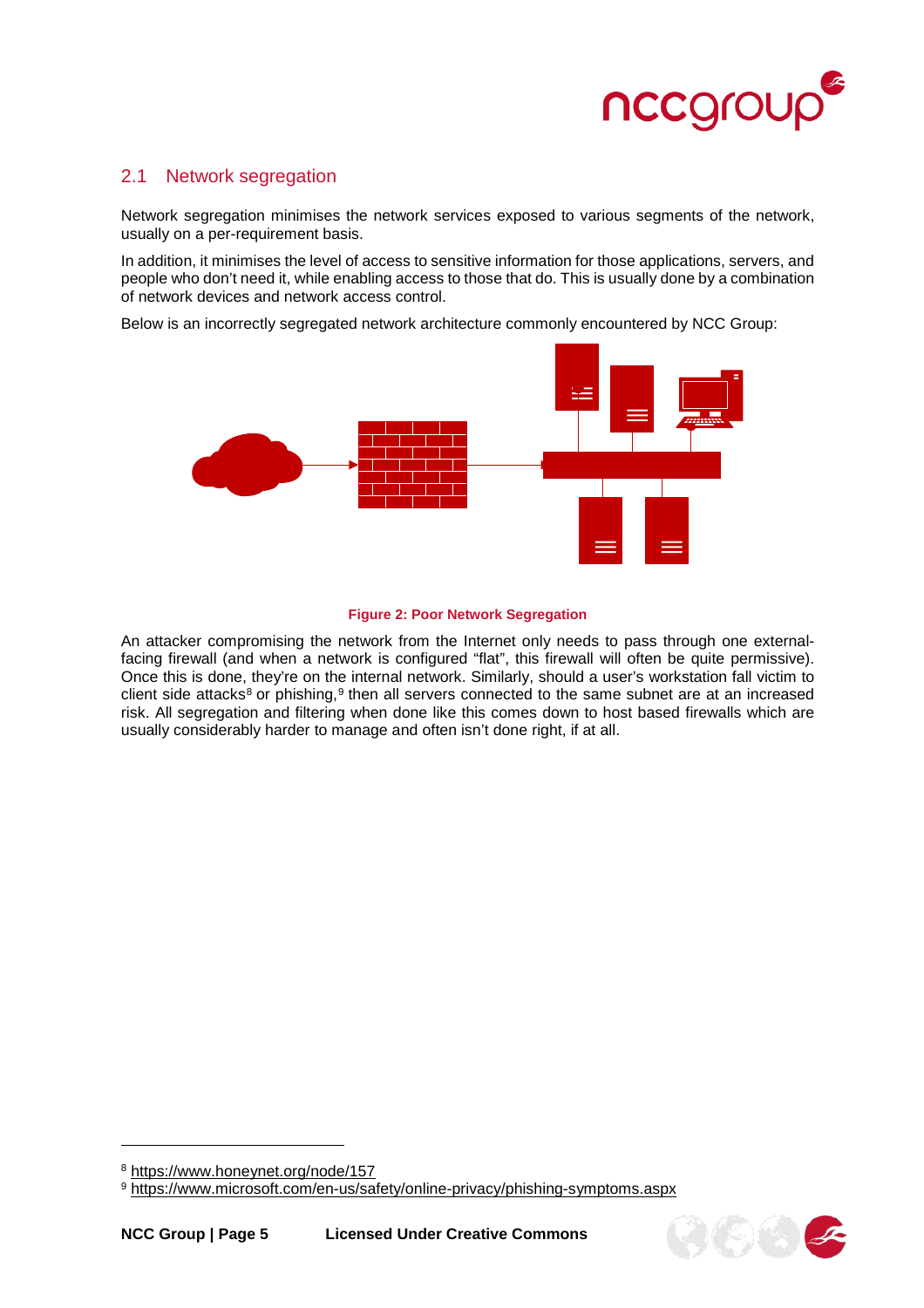

#### <span id="page-4-0"></span>2.1 Network segregation

Network segregation minimises the network services exposed to various segments of the network, usually on a per-requirement basis.

In addition, it minimises the level of access to sensitive information for those applications, servers, and people who don't need it, while enabling access to those that do. This is usually done by a combination of network devices and network access control.

Below is an incorrectly segregated network architecture commonly encountered by NCC Group:



#### **Figure 2: Poor Network Segregation**

An attacker compromising the network from the Internet only needs to pass through one externalfacing firewall (and when a network is configured "flat", this firewall will often be quite permissive). Once this is done, they're on the internal network. Similarly, should a user's workstation fall victim to client side attacks<sup>[8](#page-4-1)</sup> or phishing,<sup>[9](#page-4-2)</sup> then all servers connected to the same subnet are at an increased risk. All segregation and filtering when done like this comes down to host based firewalls which are usually considerably harder to manage and often isn't done right, if at all.



<span id="page-4-1"></span><sup>8</sup> <https://www.honeynet.org/node/157>

<span id="page-4-2"></span><sup>9</sup> <https://www.microsoft.com/en-us/safety/online-privacy/phishing-symptoms.aspx>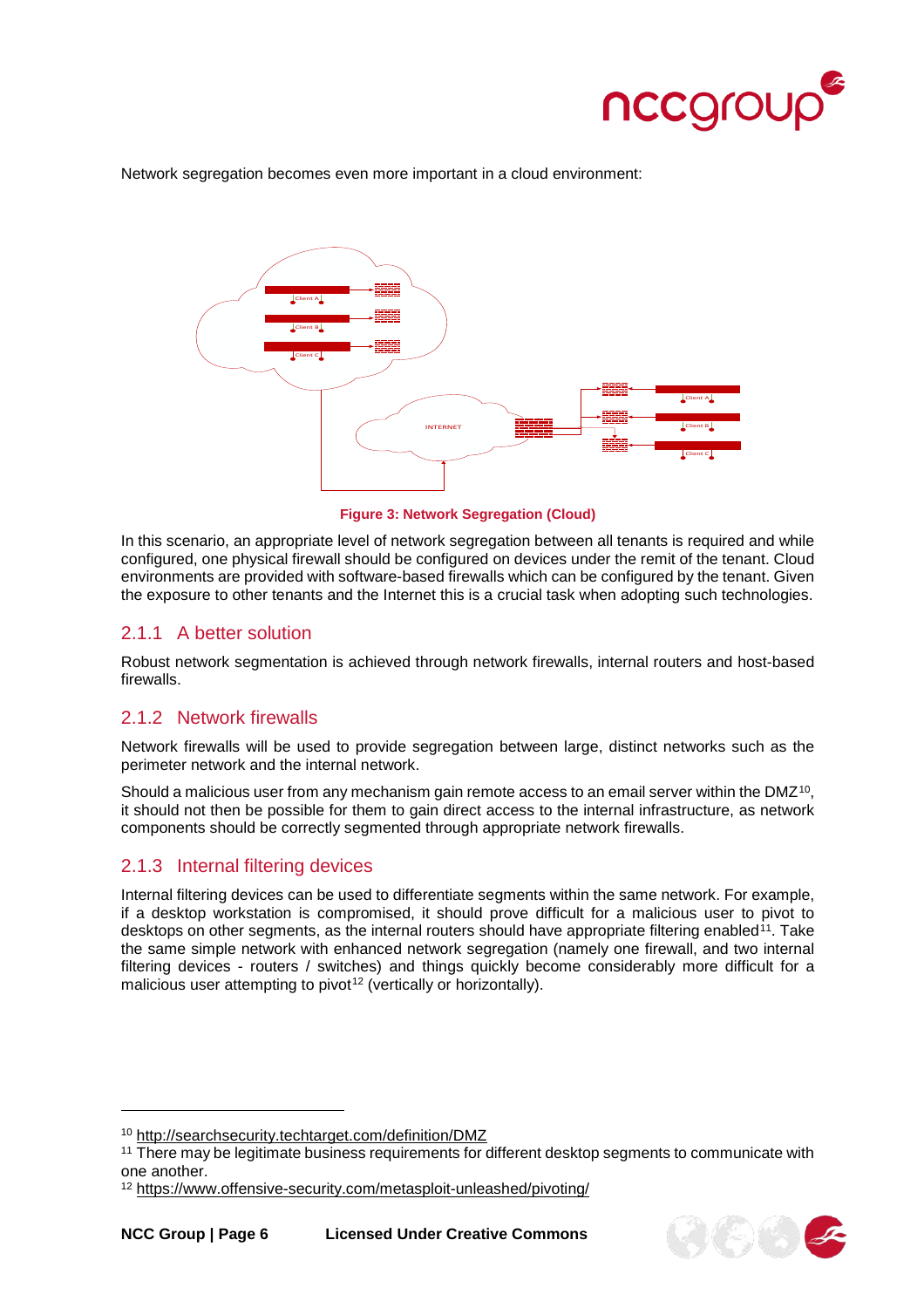

Network segregation becomes even more important in a cloud environment:



**Figure 3: Network Segregation (Cloud)**

In this scenario, an appropriate level of network segregation between all tenants is required and while configured, one physical firewall should be configured on devices under the remit of the tenant. Cloud environments are provided with software-based firewalls which can be configured by the tenant. Given the exposure to other tenants and the Internet this is a crucial task when adopting such technologies.

# <span id="page-5-0"></span>2.1.1 A better solution

Robust network segmentation is achieved through network firewalls, internal routers and host-based firewalls.

#### <span id="page-5-1"></span>2.1.2 Network firewalls

Network firewalls will be used to provide segregation between large, distinct networks such as the perimeter network and the internal network.

Should a malicious user from any mechanism gain remote access to an email server within the DMZ<sup>10</sup>, it should not then be possible for them to gain direct access to the internal infrastructure, as network components should be correctly segmented through appropriate network firewalls.

# <span id="page-5-2"></span>2.1.3 Internal filtering devices

Internal filtering devices can be used to differentiate segments within the same network. For example, if a desktop workstation is compromised, it should prove difficult for a malicious user to pivot to desktops on other segments, as the internal routers should have appropriate filtering enabled<sup>11</sup>. Take the same simple network with enhanced network segregation (namely one firewall, and two internal filtering devices - routers / switches) and things quickly become considerably more difficult for a malicious user attempting to pivot<sup>[12](#page-5-5)</sup> (vertically or horizontally).



<span id="page-5-3"></span><sup>10</sup> <http://searchsecurity.techtarget.com/definition/DMZ>

<span id="page-5-4"></span><sup>&</sup>lt;sup>11</sup> There may be legitimate business requirements for different desktop segments to communicate with one another.

<span id="page-5-5"></span><sup>12</sup> <https://www.offensive-security.com/metasploit-unleashed/pivoting/>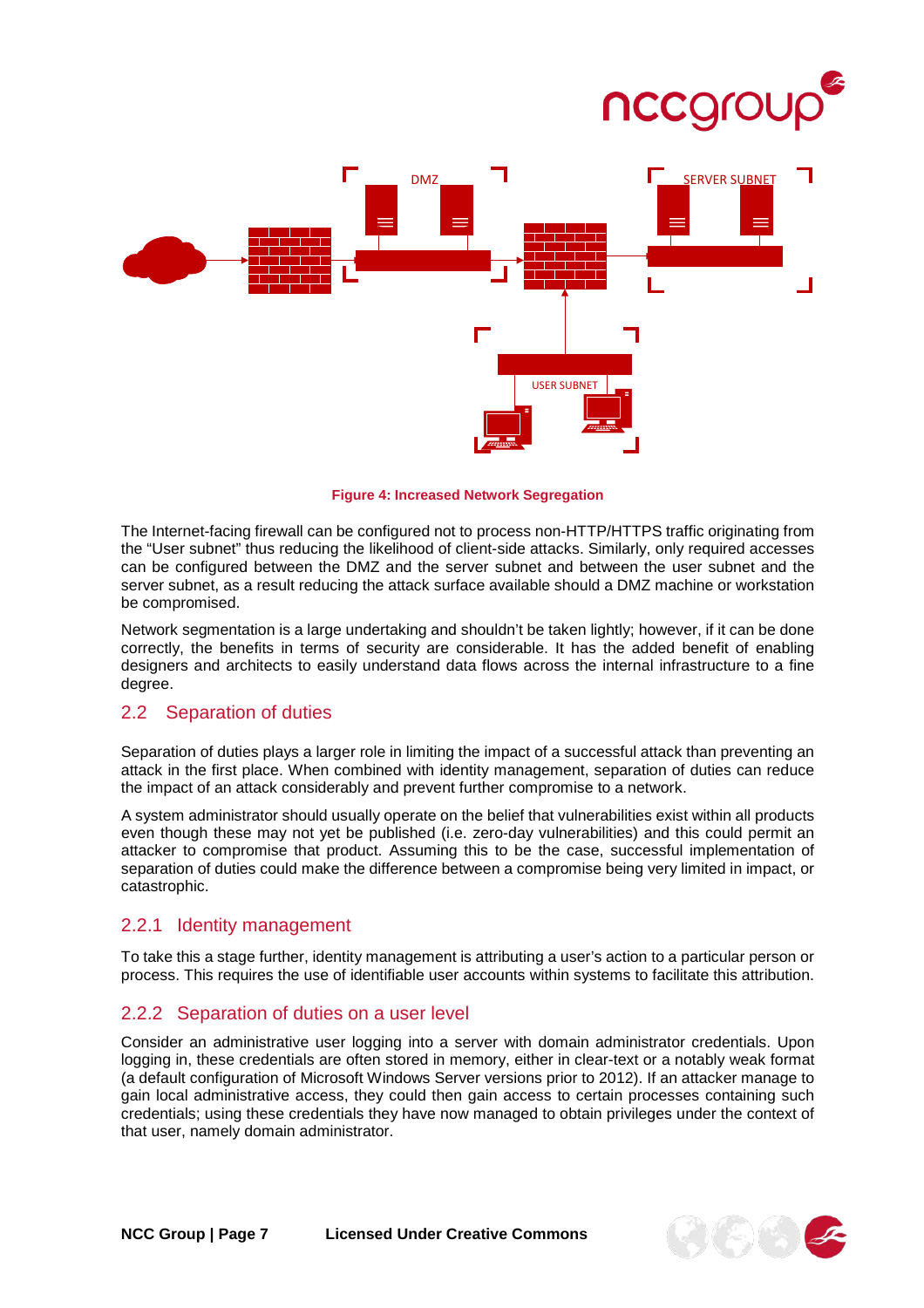



**Figure 4: Increased Network Segregation**

The Internet-facing firewall can be configured not to process non-HTTP/HTTPS traffic originating from the "User subnet" thus reducing the likelihood of client-side attacks. Similarly, only required accesses can be configured between the DMZ and the server subnet and between the user subnet and the server subnet, as a result reducing the attack surface available should a DMZ machine or workstation be compromised.

Network segmentation is a large undertaking and shouldn't be taken lightly; however, if it can be done correctly, the benefits in terms of security are considerable. It has the added benefit of enabling designers and architects to easily understand data flows across the internal infrastructure to a fine degree.

#### <span id="page-6-0"></span>2.2 Separation of duties

Separation of duties plays a larger role in limiting the impact of a successful attack than preventing an attack in the first place. When combined with identity management, separation of duties can reduce the impact of an attack considerably and prevent further compromise to a network.

A system administrator should usually operate on the belief that vulnerabilities exist within all products even though these may not yet be published (i.e. zero-day vulnerabilities) and this could permit an attacker to compromise that product. Assuming this to be the case, successful implementation of separation of duties could make the difference between a compromise being very limited in impact, or catastrophic.

#### <span id="page-6-1"></span>2.2.1 Identity management

To take this a stage further, identity management is attributing a user's action to a particular person or process. This requires the use of identifiable user accounts within systems to facilitate this attribution.

#### <span id="page-6-2"></span>2.2.2 Separation of duties on a user level

Consider an administrative user logging into a server with domain administrator credentials. Upon logging in, these credentials are often stored in memory, either in clear-text or a notably weak format (a default configuration of Microsoft Windows Server versions prior to 2012). If an attacker manage to gain local administrative access, they could then gain access to certain processes containing such credentials; using these credentials they have now managed to obtain privileges under the context of that user, namely domain administrator.

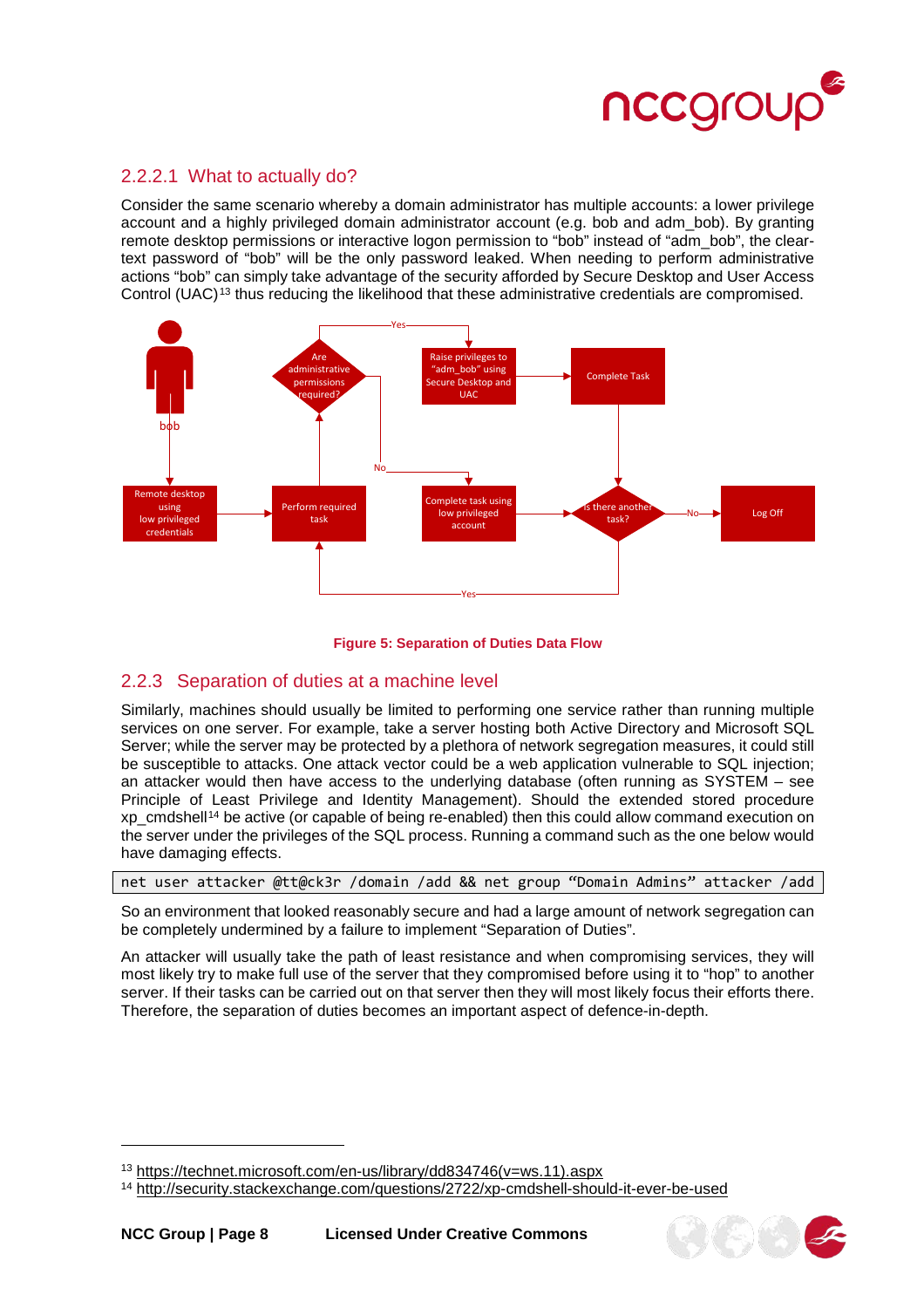

#### <span id="page-7-0"></span>2.2.2.1 What to actually do?

Consider the same scenario whereby a domain administrator has multiple accounts: a lower privilege account and a highly privileged domain administrator account (e.g. bob and adm\_bob). By granting remote desktop permissions or interactive logon permission to "bob" instead of "adm\_bob", the cleartext password of "bob" will be the only password leaked. When needing to perform administrative actions "bob" can simply take advantage of the security afforded by Secure Desktop and User Access Control (UAC)<sup>[13](#page-7-2)</sup> thus reducing the likelihood that these administrative credentials are compromised.



#### **Figure 5: Separation of Duties Data Flow**

#### <span id="page-7-1"></span>2.2.3 Separation of duties at a machine level

Similarly, machines should usually be limited to performing one service rather than running multiple services on one server. For example, take a server hosting both Active Directory and Microsoft SQL Server; while the server may be protected by a plethora of network segregation measures, it could still be susceptible to attacks. One attack vector could be a web application vulnerable to SQL injection; an attacker would then have access to the underlying database (often running as SYSTEM – see [Principle of Least Privilege](#page-8-0) and Identity Management). Should the extended stored procedure xp\_cmdshell[14](#page-7-3) be active (or capable of being re-enabled) then this could allow command execution on the server under the privileges of the SQL process. Running a command such as the one below would have damaging effects.

net user attacker @tt@ck3r /domain /add && net group "Domain Admins" attacker /add

So an environment that looked reasonably secure and had a large amount of network segregation can be completely undermined by a failure to implement "Separation of Duties".

An attacker will usually take the path of least resistance and when compromising services, they will most likely try to make full use of the server that they compromised before using it to "hop" to another server. If their tasks can be carried out on that server then they will most likely focus their efforts there. Therefore, the separation of duties becomes an important aspect of defence-in-depth.



<span id="page-7-2"></span><sup>13</sup> [https://technet.microsoft.com/en-us/library/dd834746\(v=ws.11\).aspx](https://technet.microsoft.com/en-us/library/dd834746(v=ws.11).aspx)

<span id="page-7-3"></span><sup>14</sup> <http://security.stackexchange.com/questions/2722/xp-cmdshell-should-it-ever-be-used>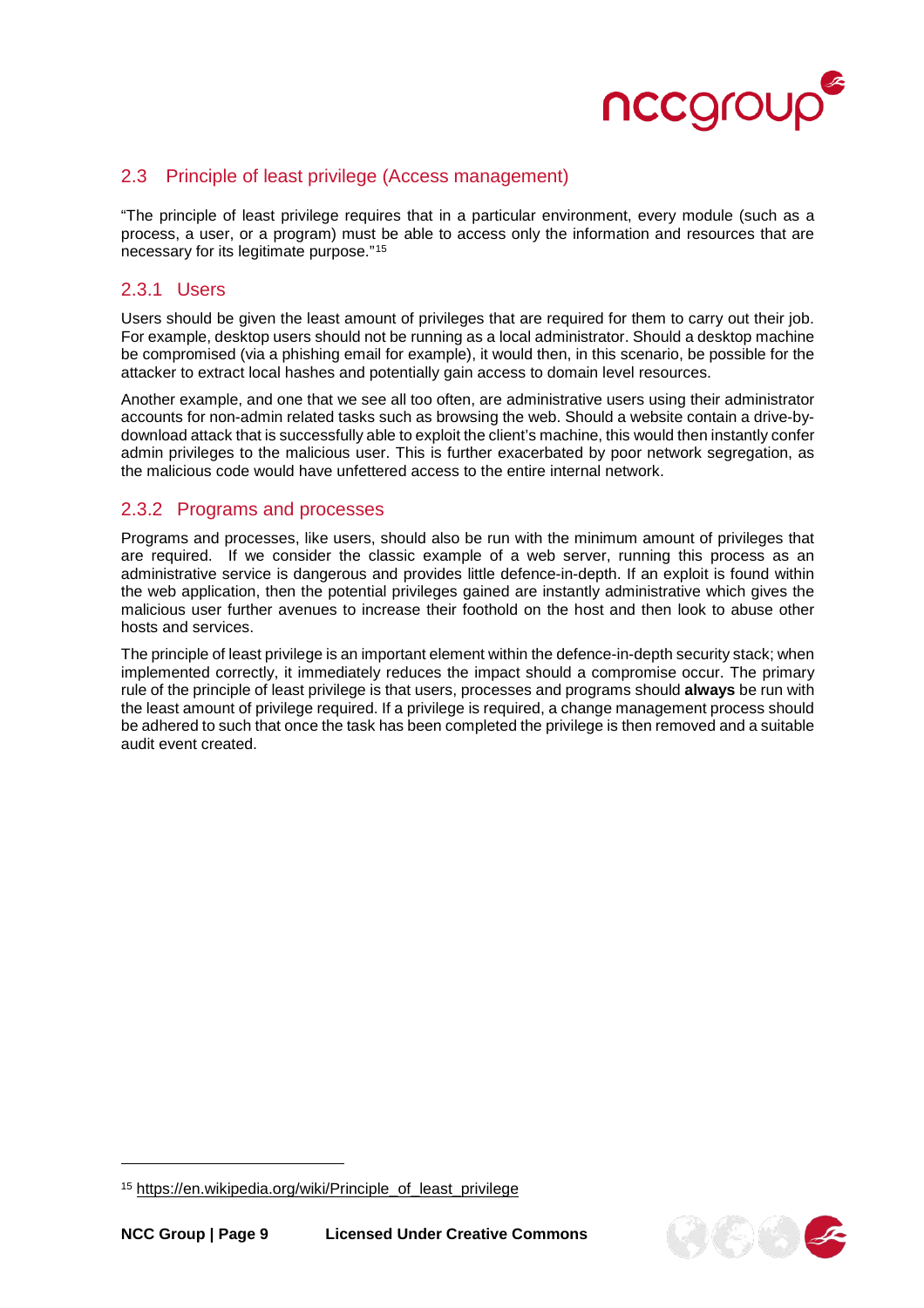

## <span id="page-8-0"></span>2.3 Principle of least privilege (Access management)

"The principle of least privilege requires that in a particular environment, every module (such as a process, a user, or a program) must be able to access only the information and resources that are necessary for its legitimate purpose."[15](#page-8-3)

#### <span id="page-8-1"></span>2.3.1 Users

Users should be given the least amount of privileges that are required for them to carry out their job. For example, desktop users should not be running as a local administrator. Should a desktop machine be compromised (via a phishing email for example), it would then, in this scenario, be possible for the attacker to extract local hashes and potentially gain access to domain level resources.

Another example, and one that we see all too often, are administrative users using their administrator accounts for non-admin related tasks such as browsing the web. Should a website contain a drive-bydownload attack that is successfully able to exploit the client's machine, this would then instantly confer admin privileges to the malicious user. This is further exacerbated by poor network segregation, as the malicious code would have unfettered access to the entire internal network.

## <span id="page-8-2"></span>2.3.2 Programs and processes

Programs and processes, like users, should also be run with the minimum amount of privileges that are required. If we consider the classic example of a web server, running this process as an administrative service is dangerous and provides little defence-in-depth. If an exploit is found within the web application, then the potential privileges gained are instantly administrative which gives the malicious user further avenues to increase their foothold on the host and then look to abuse other hosts and services.

The principle of least privilege is an important element within the defence-in-depth security stack; when implemented correctly, it immediately reduces the impact should a compromise occur. The primary rule of the principle of least privilege is that users, processes and programs should **always** be run with the least amount of privilege required. If a privilege is required, a change management process should be adhered to such that once the task has been completed the privilege is then removed and a suitable audit event created.

j



<span id="page-8-3"></span><sup>15</sup> [https://en.wikipedia.org/wiki/Principle\\_of\\_least\\_privilege](https://en.wikipedia.org/wiki/Principle_of_least_privilege)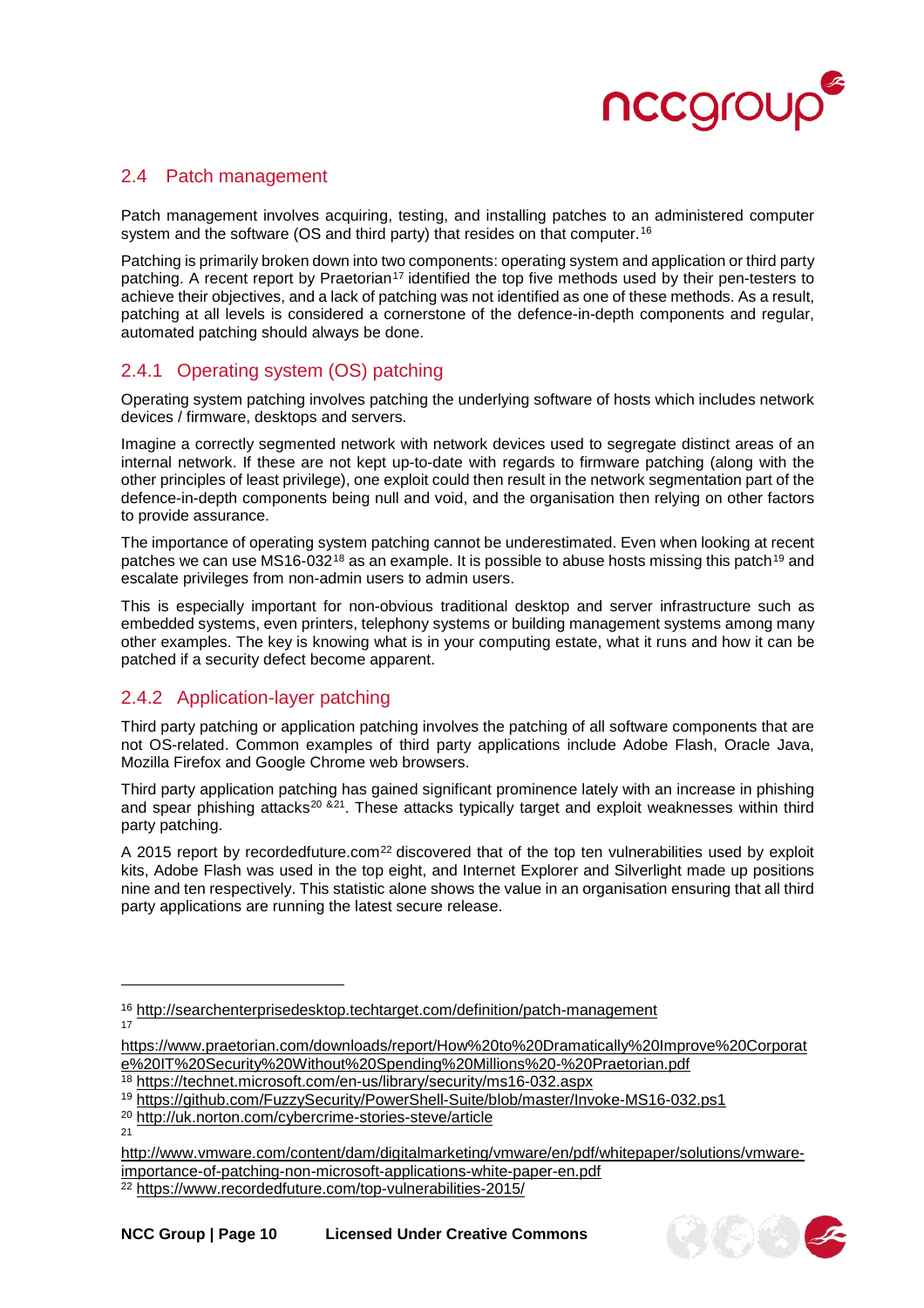

## <span id="page-9-0"></span>2.4 Patch management

Patch management involves acquiring, testing, and installing [patche](http://searchenterprisedesktop.techtarget.com/definition/patch)s to an administered computer system and the software (OS and third party) that resides on that computer.<sup>16</sup>

Patching is primarily broken down into two components: operating system and application or third party patching. A recent report by Praetorian<sup>[17](#page-9-4)</sup> identified the top five methods used by their pen-testers to achieve their objectives, and a lack of patching was not identified as one of these methods. As a result, patching at all levels is considered a cornerstone of the defence-in-depth components and regular, automated patching should always be done.

# <span id="page-9-1"></span>2.4.1 Operating system (OS) patching

Operating system patching involves patching the underlying software of hosts which includes network devices / firmware, desktops and servers.

Imagine a correctly segmented network with network devices used to segregate distinct areas of an internal network. If these are not kept up-to-date with regards to firmware patching (along with the other principles of least privilege), one exploit could then result in the network segmentation part of the defence-in-depth components being null and void, and the organisation then relying on other factors to provide assurance.

The importance of operating system patching cannot be underestimated. Even when looking at recent patches we can use MS16-032<sup>[18](#page-9-5)</sup> as an example. It is possible to abuse hosts missing this patch<sup>[19](#page-9-6)</sup> and escalate privileges from non-admin users to admin users.

This is especially important for non-obvious traditional desktop and server infrastructure such as embedded systems, even printers, telephony systems or building management systems among many other examples. The key is knowing what is in your computing estate, what it runs and how it can be patched if a security defect become apparent.

# <span id="page-9-2"></span>2.4.2 Application-layer patching

Third party patching or application patching involves the patching of all software components that are not OS-related. Common examples of third party applications include Adobe Flash, Oracle Java, Mozilla Firefox and Google Chrome web browsers.

Third party application patching has gained significant prominence lately with an increase in phishing and spear phishing attacks<sup>[20](#page-9-7) &[21](#page-9-8)</sup>. These attacks typically target and exploit weaknesses within third party patching.

A 2015 report by recordedfuture.com<sup>[22](#page-9-9)</sup> discovered that of the top ten vulnerabilities used by exploit kits, Adobe Flash was used in the top eight, and Internet Explorer and Silverlight made up positions nine and ten respectively. This statistic alone shows the value in an organisation ensuring that all third party applications are running the latest secure release.



<span id="page-9-3"></span><sup>16</sup> <http://searchenterprisedesktop.techtarget.com/definition/patch-management> 17

<span id="page-9-4"></span>[https://www.praetorian.com/downloads/report/How%20to%20Dramatically%20Improve%20Corporat](https://www.praetorian.com/downloads/report/How%20to%20Dramatically%20Improve%20Corporate%20IT%20Security%20Without%20Spending%20Millions%20-%20Praetorian.pdf) [e%20IT%20Security%20Without%20Spending%20Millions%20-%20Praetorian.pdf](https://www.praetorian.com/downloads/report/How%20to%20Dramatically%20Improve%20Corporate%20IT%20Security%20Without%20Spending%20Millions%20-%20Praetorian.pdf)

<span id="page-9-5"></span><sup>18</sup> <https://technet.microsoft.com/en-us/library/security/ms16-032.aspx>

<span id="page-9-6"></span><sup>19</sup> <https://github.com/FuzzySecurity/PowerShell-Suite/blob/master/Invoke-MS16-032.ps1>

<span id="page-9-7"></span><sup>20</sup> <http://uk.norton.com/cybercrime-stories-steve/article>

<sup>21</sup>

<span id="page-9-8"></span>[http://www.vmware.com/content/dam/digitalmarketing/vmware/en/pdf/whitepaper/solutions/vmware](http://www.vmware.com/content/dam/digitalmarketing/vmware/en/pdf/whitepaper/solutions/vmware-importance-of-patching-non-microsoft-applications-white-paper-en.pdf)[importance-of-patching-non-microsoft-applications-white-paper-en.pdf](http://www.vmware.com/content/dam/digitalmarketing/vmware/en/pdf/whitepaper/solutions/vmware-importance-of-patching-non-microsoft-applications-white-paper-en.pdf)

<span id="page-9-9"></span><sup>&</sup>lt;sup>22</sup> <https://www.recordedfuture.com/top-vulnerabilities-2015/>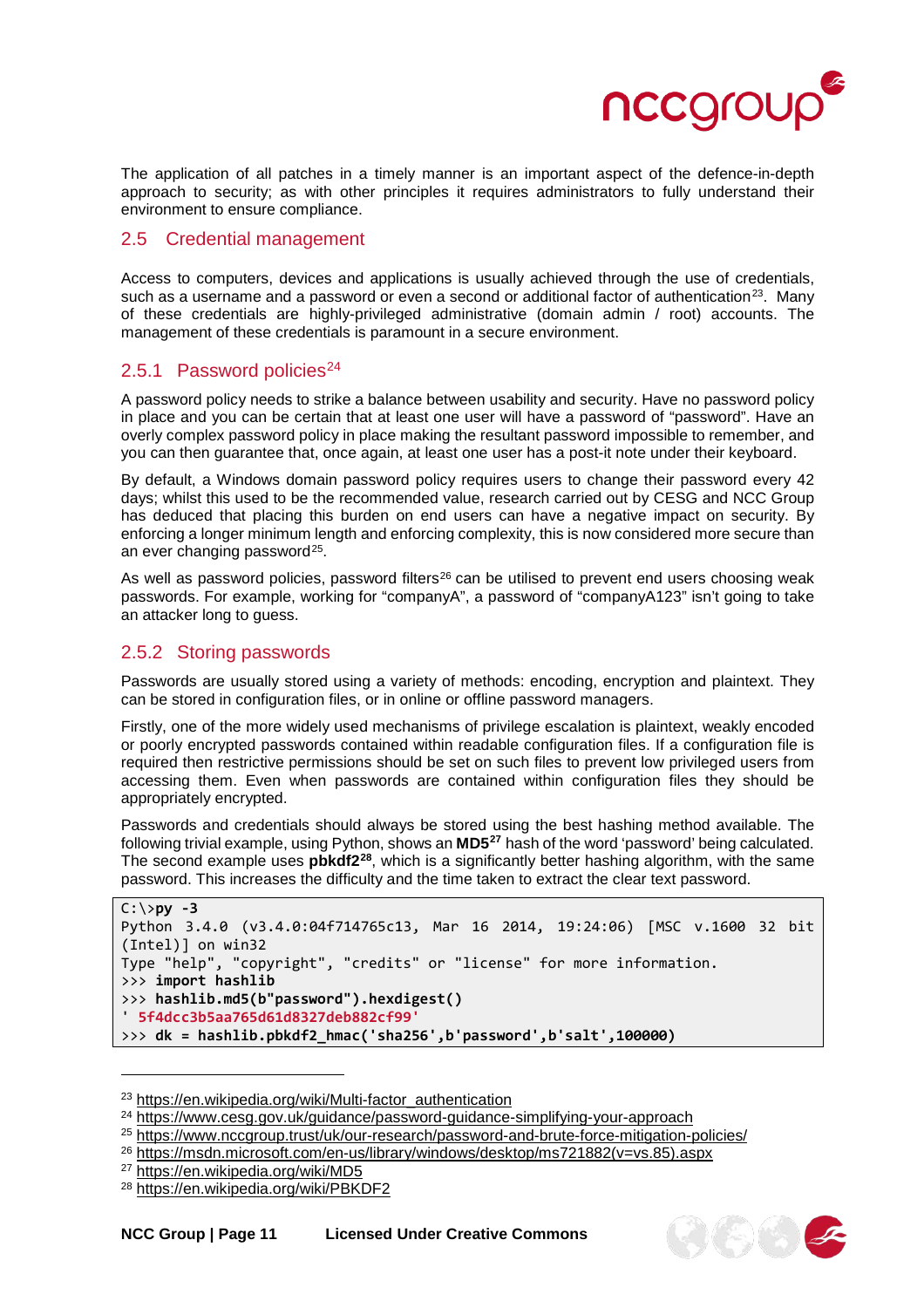

The application of all patches in a timely manner is an important aspect of the defence-in-depth approach to security; as with other principles it requires administrators to fully understand their environment to ensure compliance.

#### <span id="page-10-0"></span>2.5 Credential management

Access to computers, devices and applications is usually achieved through the use of credentials, such as a username and a password or even a second or additional factor of authentication<sup>23</sup>. Many of these credentials are highly-privileged administrative (domain admin / root) accounts. The management of these credentials is paramount in a secure environment.

#### <span id="page-10-1"></span>2.5.1 Password policies<sup>[24](#page-10-4)</sup>

A password policy needs to strike a balance between usability and security. Have no password policy in place and you can be certain that at least one user will have a password of "password". Have an overly complex password policy in place making the resultant password impossible to remember, and you can then guarantee that, once again, at least one user has a post-it note under their keyboard.

By default, a Windows domain password policy requires users to change their password every 42 days; whilst this used to be the recommended value, research carried out by CESG and NCC Group has deduced that placing this burden on end users can have a negative impact on security. By enforcing a longer minimum length and enforcing complexity, this is now considered more secure than an ever changing password<sup>25</sup>.

As well as password policies, password filters<sup>[26](#page-10-6)</sup> can be utilised to prevent end users choosing weak passwords. For example, working for "companyA", a password of "companyA123" isn't going to take an attacker long to guess.

#### <span id="page-10-2"></span>2.5.2 Storing passwords

Passwords are usually stored using a variety of methods: encoding, encryption and plaintext. They can be stored in configuration files, or in online or offline password managers.

Firstly, one of the more widely used mechanisms of privilege escalation is plaintext, weakly encoded or poorly encrypted passwords contained within readable configuration files. If a configuration file is required then restrictive permissions should be set on such files to prevent low privileged users from accessing them. Even when passwords are contained within configuration files they should be appropriately encrypted.

Passwords and credentials should always be stored using the best hashing method available. The following trivial example, using Python, shows an **MD5[27](#page-10-7)** hash of the word 'password' being calculated. The second example uses **pbkdf2[28](#page-10-8)**, which is a significantly better hashing algorithm, with the same password. This increases the difficulty and the time taken to extract the clear text password.

```
C:\>py -3 
Python 3.4.0 (v3.4.0:04f714765c13, Mar 16 2014, 19:24:06) [MSC v.1600 32 bit 
(Intel)] on win32 
Type "help", "copyright", "credits" or "license" for more information. 
>>> import hashlib 
>>> hashlib.md5(b"password").hexdigest() 
' 5f4dcc3b5aa765d61d8327deb882cf99'
>>> dk = hashlib.pbkdf2_hmac('sha256',b'password',b'salt',100000)
```
j



<span id="page-10-3"></span><sup>23</sup> [https://en.wikipedia.org/wiki/Multi-factor\\_authentication](https://en.wikipedia.org/wiki/Multi-factor_authentication)

<span id="page-10-4"></span><sup>24</sup> <https://www.cesg.gov.uk/guidance/password-guidance-simplifying-your-approach>

<span id="page-10-5"></span><sup>25</sup> <https://www.nccgroup.trust/uk/our-research/password-and-brute-force-mitigation-policies/>

<span id="page-10-6"></span><sup>26</sup> [https://msdn.microsoft.com/en-us/library/windows/desktop/ms721882\(v=vs.85\).aspx](https://msdn.microsoft.com/en-us/library/windows/desktop/ms721882(v=vs.85).aspx)

<span id="page-10-7"></span><sup>27</sup> <https://en.wikipedia.org/wiki/MD5>

<span id="page-10-8"></span><sup>28</sup> <https://en.wikipedia.org/wiki/PBKDF2>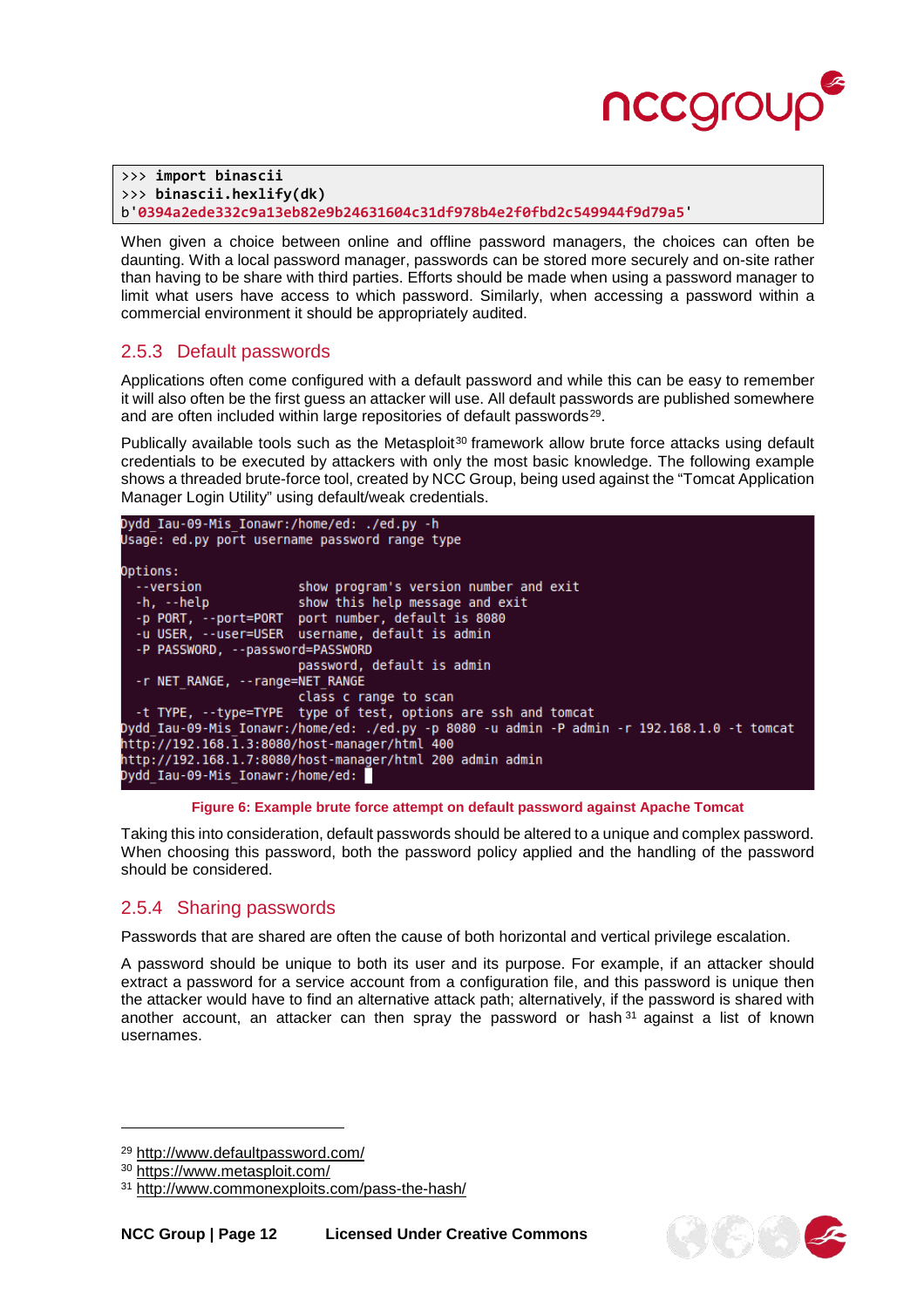

```
>>> import binascii 
>>> binascii.hexlify(dk) 
b'0394a2ede332c9a13eb82e9b24631604c31df978b4e2f0fbd2c549944f9d79a5'
```
When given a choice between online and offline password managers, the choices can often be daunting. With a local password manager, passwords can be stored more securely and on-site rather than having to be share with third parties. Efforts should be made when using a password manager to limit what users have access to which password. Similarly, when accessing a password within a commercial environment it should be appropriately audited.

## <span id="page-11-0"></span>2.5.3 Default passwords

Applications often come configured with a default password and while this can be easy to remember it will also often be the first guess an attacker will use. All default passwords are published somewhere and are often included within large repositories of default passwords<sup>[29](#page-11-2)</sup>.

Publically available tools such as the Metasploit<sup>[30](#page-11-3)</sup> framework allow brute force attacks using default credentials to be executed by attackers with only the most basic knowledge. The following example shows a threaded brute-force tool, created by NCC Group, being used against the "Tomcat Application Manager Login Utility" using default/weak credentials.

```
Dydd Iau-09-Mis Ionawr:/home/ed: ./ed.py -h
Usage: ed.py port username password range type
Options:
  --version
                         show program's version number and exit
  -h, -helpshow this help message and exit
  -p<br>PORT, --port=PORT port number, default is 8080<br>-u USER, --user=USER username, default is admin
  -P PASSWORD, --password=PASSWORD
                         password, default is admin
  -r NET_RANGE, --range=NET_RANGE
                         class c range to scan
  -t TYPE, --type=TYPE type of test, options are ssh and tomcat
Dydd_Iau-09-Mis_Ionawr:/home/ed: ./ed.py -p 8080 -u admin -P admin -r 192.168.1.0 -t tomcat
http://192.168.1.3:8080/host-manager/html 400
http://192.168.1.7:8080/host-manager/html 200 admin admin
Dydd Iau-09-Mis Ionawr:/home/ed:
```
#### **Figure 6: Example brute force attempt on default password against Apache Tomcat**

Taking this into consideration, default passwords should be altered to a unique and complex password. When choosing this password, both the password policy applied and the handling of the password should be considered.

#### <span id="page-11-1"></span>2.5.4 Sharing passwords

Passwords that are shared are often the cause of both horizontal and vertical privilege escalation.

A password should be unique to both its user and its purpose. For example, if an attacker should extract a password for a service account from a configuration file, and this password is unique then the attacker would have to find an alternative attack path; alternatively, if the password is shared with another account, an attacker can then spray the password or hash  $31$  against a list of known usernames.

j



<span id="page-11-2"></span><sup>29</sup> <http://www.defaultpassword.com/>

<span id="page-11-3"></span><sup>30</sup> <https://www.metasploit.com/>

<span id="page-11-4"></span><sup>31</sup> <http://www.commonexploits.com/pass-the-hash/>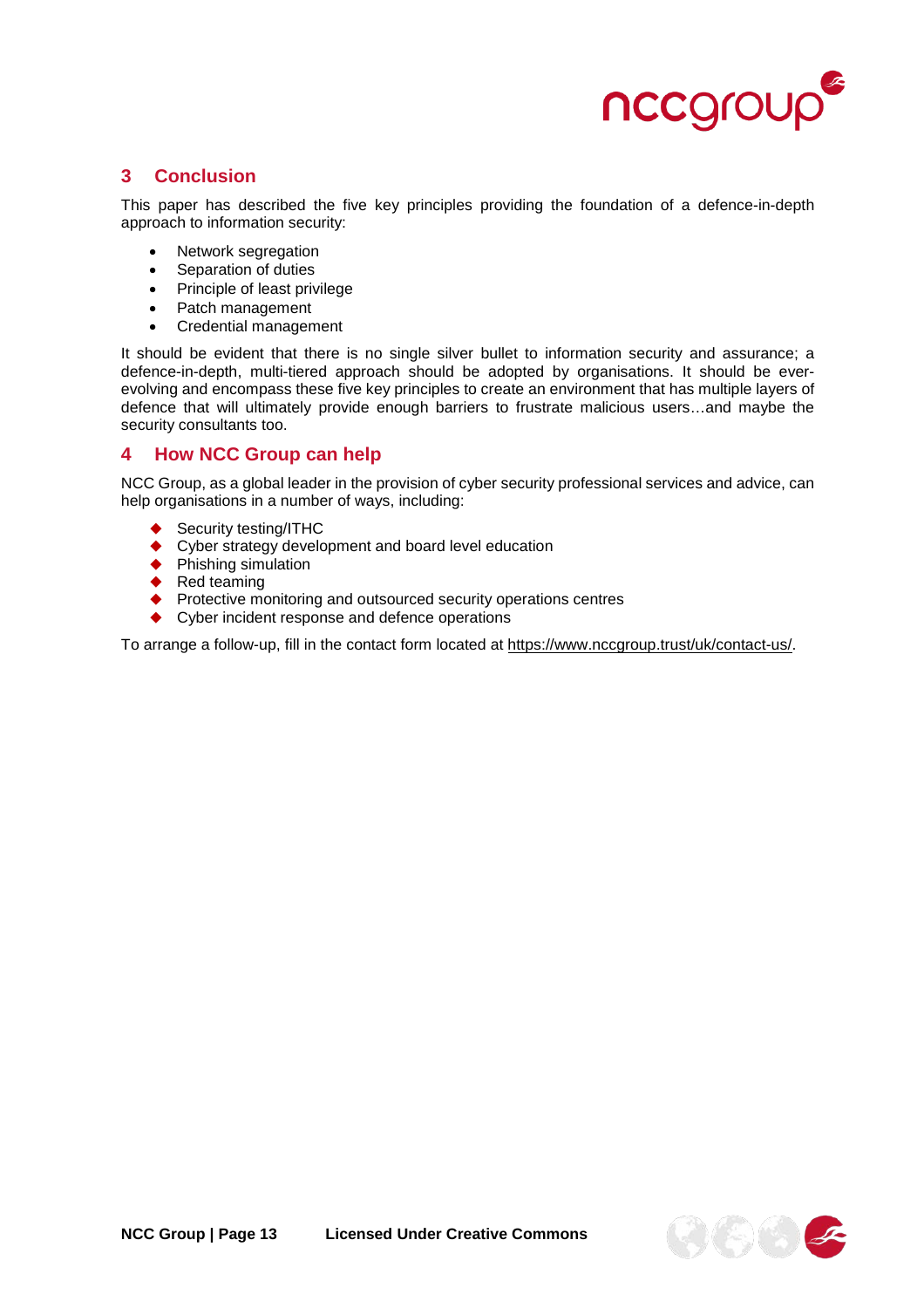

## <span id="page-12-0"></span>**3 Conclusion**

This paper has described the five key principles providing the foundation of a defence-in-depth approach to information security:

- Network segregation
- Separation of duties
- Principle of least privilege
- Patch management
- Credential management

It should be evident that there is no single silver bullet to information security and assurance; a defence-in-depth, multi-tiered approach should be adopted by organisations. It should be everevolving and encompass these five key principles to create an environment that has multiple layers of defence that will ultimately provide enough barriers to frustrate malicious users…and maybe the security consultants too.

#### <span id="page-12-1"></span>**4 How NCC Group can help**

NCC Group, as a global leader in the provision of cyber security professional services and advice, can help organisations in a number of ways, including:

- Security testing/ITHC
- ◆ Cyber strategy development and board level education
- ◆ Phishing simulation
- $\triangleleft$  Red teaming
- ◆ Protective monitoring and outsourced security operations centres
- ◆ Cyber incident response and defence operations

To arrange a follow-up, fill in the contact form located at [https://www.nccgroup.trust/uk/contact-us/.](https://www.nccgroup.trust/uk/contact-us/)